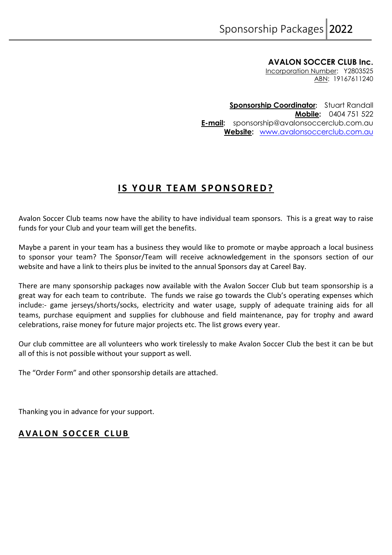**AVALON SOCCER CLUB Inc.** 

Incorporation Number: Y2803525 ABN: 19167611240

**Sponsorship Coordinator:** Stuart Randall **Mobile:** 0404 751 522 **E-mail:** sponsorship@avalonsoccerclub.com.au **Website:** [www.avalonsoccerclub.com.au](http://www.avalonsoccerclub.com.au/)

## **IS YOUR TEAM SPONSORED?**

Avalon Soccer Club teams now have the ability to have individual team sponsors. This is a great way to raise funds for your Club and your team will get the benefits.

Maybe a parent in your team has a business they would like to promote or maybe approach a local business to sponsor your team? The Sponsor/Team will receive acknowledgement in the sponsors section of our website and have a link to theirs plus be invited to the annual Sponsors day at Careel Bay.

There are many sponsorship packages now available with the Avalon Soccer Club but team sponsorship is a great way for each team to contribute. The funds we raise go towards the Club's operating expenses which include:- game jerseys/shorts/socks, electricity and water usage, supply of adequate training aids for all teams, purchase equipment and supplies for clubhouse and field maintenance, pay for trophy and award celebrations, raise money for future major projects etc. The list grows every year.

Our club committee are all volunteers who work tirelessly to make Avalon Soccer Club the best it can be but all of this is not possible without your support as well.

The "Order Form" and other sponsorship details are attached.

Thanking you in advance for your support.

## **AVALON SOCCER CLUB**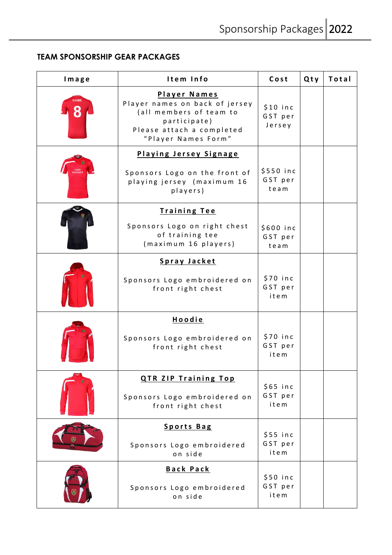## **TEAM SPONSORSHIP GEAR PACKAGES**

| Image | Item Info                                                                                                                                            | Cost                           | Qty | Total |
|-------|------------------------------------------------------------------------------------------------------------------------------------------------------|--------------------------------|-----|-------|
|       | <b>Player Names</b><br>Player names on back of jersey<br>(all members of team to<br>participate)<br>Please attach a completed<br>"Player Names Form" | $$10$ inc<br>GST per<br>Jersey |     |       |
|       | Playing Jersey Signage                                                                                                                               |                                |     |       |
|       | Sponsors Logo on the front of<br>playing jersey (maximum 16<br>players)                                                                              | \$550 inc<br>GST per<br>team   |     |       |
|       | <b>Training Tee</b>                                                                                                                                  |                                |     |       |
|       | Sponsors Logo on right chest<br>of training tee<br>(maximum 16 players)                                                                              | \$600 inc<br>GST per<br>team   |     |       |
|       | Spray Jacket                                                                                                                                         |                                |     |       |
|       | Sponsors Logo embroidered on<br>front right chest                                                                                                    | $$70$ inc<br>GST per<br>item   |     |       |
|       | <b>Hoodie</b>                                                                                                                                        |                                |     |       |
|       | Sponsors Logo embroidered on<br>front right chest                                                                                                    | $$70$ inc<br>GST per<br>item   |     |       |
|       | <b>QTR ZIP Training Top</b>                                                                                                                          |                                |     |       |
|       | Sponsors Logo embroidered on<br>front right chest                                                                                                    | $$65$ inc<br>GST per<br>item   |     |       |
|       | <b>Sports Bag</b>                                                                                                                                    |                                |     |       |
|       | Sponsors Logo embroidered<br>on side                                                                                                                 | $$55$ inc<br>GST per<br>item   |     |       |
|       | <b>Back Pack</b>                                                                                                                                     | $$50$ inc                      |     |       |
|       | Sponsors Logo embroidered<br>on side                                                                                                                 | GST per<br>item                |     |       |